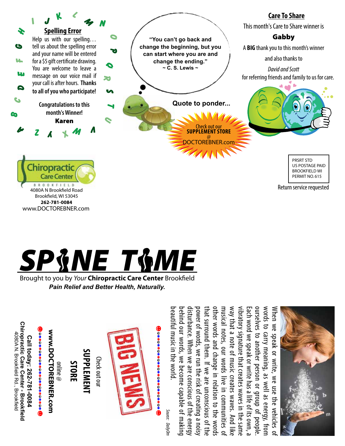



Brought to you by *Your* Chiropractic Care Center Brookfield *Pain Relief and Better Health, Naturally.*

Chiropractic Care Center - Brookfield<br>4080A N. Brookfield Rd., Brookfield **Chiropractic Care Center - Brookfield** 4080A N. Brookfield Rd., Brookfield Call today: 262-781-0084 **Call today: 262-781-0084**

## 

**www.DOCTOREBNER.com** WWW.DOCTOREBNER.com online @

**S tor e**

## **Suppl e m e n t**

Check out our Check out our



*Source: DailyOm* Source: DailyOn

beautiful music in the world. behind our words, we become capable of making disturbance. When we are conscious of the energy power of words, we run the risk of creating a noisy that surround them. If we are unconscious of the other words and change in relation to the words other words and change in relation to the words musical notes, our words live in communities of way that a note of music creates waves. And like way that a note of music creates waves. And like vibratory signature that creates waves in the same Each word we speak or write has a life of its own, a ourselves to another person or group of people ourselves to another person or group of people. words to carry meaning, as well as energy, from words to carry meaning, as well as energy, from When we speak or write, we use the vehicles of When behind our words, we become capable of making that surround them. If we are unconscious of the musical notes, our words live in communities of Each word we speak or write has a life of its own, a eautiful music in the world ower of words, we run the risk of creating a nois) isturbance. When we are conscious of the energy ibratory signature that creates waves in the same we speak or write, We use the vehicles of